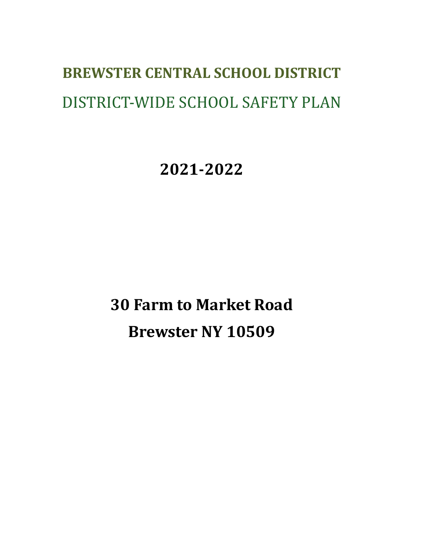# **BREWSTER CENTRAL SCHOOL DISTRICT** DISTRICT-WIDE SCHOOL SAFETY PLAN

**2021-2022**

**30 Farm to Market Road Brewster NY 10509**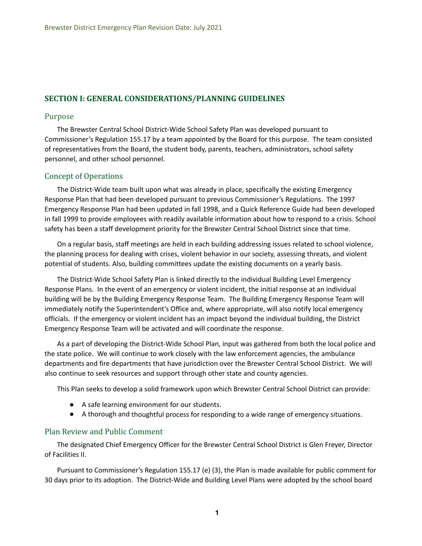## **SECTION I: GENERAL CONSIDERATIONS/PLANNING GUIDELINES**

#### Purpose

 The Brewster Central School District-Wide School Safety Plan was developed pursuant to Commissioner's Regulation 155.17 by a team appointed by the Board for this purpose. The team consisted of representatives from the Board, the student body, parents, teachers, administrators, school safety personnel, and other school personnel.

## Concept of Operations

 The District-Wide team built upon what was already in place, specifically the existing Emergency Response Plan that had been developed pursuant to previous Commissioner's Regulations. The 1997 Emergency Response Plan had been updated in fall 1998, and a Quick Reference Guide had been developed in fall 1999 to provide employees with readily available information about how to respond to a crisis. School safety has been a staff development priority for the Brewster Central School District since that time.

 On a regular basis, staff meetings are held in each building addressing issues related to school violence, the planning process for dealing with crises, violent behavior in our society, assessing threats, and violent potential of students. Also, building committees update the existing documents on a yearly basis.

 The District-Wide School Safety Plan is linked directly to the individual Building Level Emergency Response Plans. In the event of an emergency or violent incident, the initial response at an individual building will be by the Building Emergency Response Team. The Building Emergency Response Team will immediately notify the Superintendent's Office and, where appropriate, will also notify local emergency officials. If the emergency or violent incident has an impact beyond the individual building, the District Emergency Response Team will be activated and will coordinate the response.

 As a part of developing the District-Wide School Plan, input was gathered from both the local police and the state police. We will continue to work closely with the law enforcement agencies, the ambulance departments and fire departments that have jurisdiction over the Brewster Central School District. We will also continue to seek resources and support through other state and county agencies.

This Plan seeks to develop a solid framework upon which Brewster Central School District can provide:

- A safe learning environment for our students.
- A thorough and thoughtful process for responding to a wide range of emergency situations.

#### Plan Review and Public Comment

 The designated Chief Emergency Officer for the Brewster Central School District is Glen Freyer, Director of Facilities II.

 Pursuant to Commissioner's Regulation 155.17 (e) (3), the Plan is made available for public comment for 30 days prior to its adoption. The District-Wide and Building Level Plans were adopted by the school board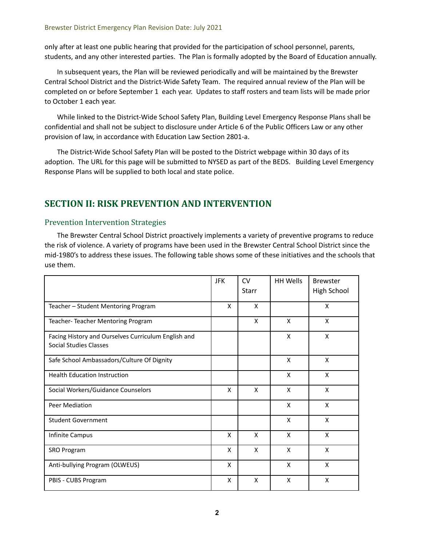only after at least one public hearing that provided for the participation of school personnel, parents, students, and any other interested parties. The Plan is formally adopted by the Board of Education annually.

 In subsequent years, the Plan will be reviewed periodically and will be maintained by the Brewster Central School District and the District-Wide Safety Team. The required annual review of the Plan will be completed on or before September 1 each year. Updates to staff rosters and team lists will be made prior to October 1 each year.

 While linked to the District-Wide School Safety Plan, Building Level Emergency Response Plans shall be confidential and shall not be subject to disclosure under Article 6 of the Public Officers Law or any other provision of law, in accordance with Education Law Section 2801-a.

 The District-Wide School Safety Plan will be posted to the District webpage within 30 days of its adoption. The URL for this page will be submitted to NYSED as part of the BEDS. Building Level Emergency Response Plans will be supplied to both local and state police.

# **SECTION II: RISK PREVENTION AND INTERVENTION**

## Prevention Intervention Strategies

 The Brewster Central School District proactively implements a variety of preventive programs to reduce the risk of violence. A variety of programs have been used in the Brewster Central School District since the mid-1980's to address these issues. The following table shows some of these initiatives and the schools that use them.

|                                                                                      | <b>JFK</b> | <b>CV</b><br><b>Starr</b> | <b>HH Wells</b> | <b>Brewster</b><br>High School |
|--------------------------------------------------------------------------------------|------------|---------------------------|-----------------|--------------------------------|
| Teacher - Student Mentoring Program                                                  | X          | X                         |                 | X                              |
| Teacher-Teacher Mentoring Program                                                    |            | X                         | X               | X                              |
| Facing History and Ourselves Curriculum English and<br><b>Social Studies Classes</b> |            |                           | X               | X                              |
| Safe School Ambassadors/Culture Of Dignity                                           |            |                           | X               | X                              |
| <b>Health Education Instruction</b>                                                  |            |                           | X               | X                              |
| Social Workers/Guidance Counselors                                                   | X          | X                         | X               | X                              |
| <b>Peer Mediation</b>                                                                |            |                           | X               | X                              |
| <b>Student Government</b>                                                            |            |                           | X               | X                              |
| Infinite Campus                                                                      | X          | X                         | X               | X                              |
| <b>SRO Program</b>                                                                   | X          | X                         | X               | X                              |
| Anti-bullying Program (OLWEUS)                                                       | X          |                           | X               | X                              |
| PBIS - CUBS Program                                                                  | X          | X                         | X               | X                              |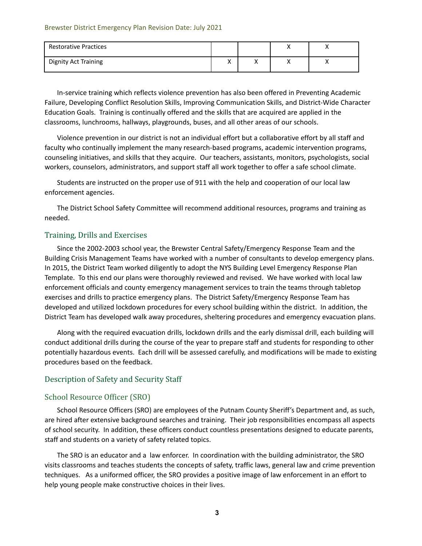#### Brewster District Emergency Plan Revision Date: July 2021

| <b>Restorative Practices</b> |                              |   | $\cdots$ |  |
|------------------------------|------------------------------|---|----------|--|
| <b>Dignity Act Training</b>  | $\checkmark$<br>$\mathbf{v}$ | " | ,,       |  |

 In-service training which reflects violence prevention has also been offered in Preventing Academic Failure, Developing Conflict Resolution Skills, Improving Communication Skills, and District-Wide Character Education Goals. Training is continually offered and the skills that are acquired are applied in the classrooms, lunchrooms, hallways, playgrounds, buses, and all other areas of our schools.

 Violence prevention in our district is not an individual effort but a collaborative effort by all staff and faculty who continually implement the many research-based programs, academic intervention programs, counseling initiatives, and skills that they acquire. Our teachers, assistants, monitors, psychologists, social workers, counselors, administrators, and support staff all work together to offer a safe school climate.

 Students are instructed on the proper use of 911 with the help and cooperation of our local law enforcement agencies.

 The District School Safety Committee will recommend additional resources, programs and training as needed.

#### Training, Drills and Exercises

 Since the 2002-2003 school year, the Brewster Central Safety/Emergency Response Team and the Building Crisis Management Teams have worked with a number of consultants to develop emergency plans. In 2015, the District Team worked diligently to adopt the NYS Building Level Emergency Response Plan Template. To this end our plans were thoroughly reviewed and revised. We have worked with local law enforcement officials and county emergency management services to train the teams through tabletop exercises and drills to practice emergency plans. The District Safety/Emergency Response Team has developed and utilized lockdown procedures for every school building within the district. In addition, the District Team has developed walk away procedures, sheltering procedures and emergency evacuation plans.

 Along with the required evacuation drills, lockdown drills and the early dismissal drill, each building will conduct additional drills during the course of the year to prepare staff and students for responding to other potentially hazardous events. Each drill will be assessed carefully, and modifications will be made to existing procedures based on the feedback.

#### Description of Safety and Security Staff

#### School Resource Officer (SRO)

 School Resource Officers (SRO) are employees of the Putnam County Sheriff's Department and, as such, are hired after extensive background searches and training. Their job responsibilities encompass all aspects of school security. In addition, these officers conduct countless presentations designed to educate parents, staff and students on a variety of safety related topics.

 The SRO is an educator and a law enforcer. In coordination with the building administrator, the SRO visits classrooms and teaches students the concepts of safety, traffic laws, general law and crime prevention techniques. As a uniformed officer, the SRO provides a positive image of law enforcement in an effort to help young people make constructive choices in their lives.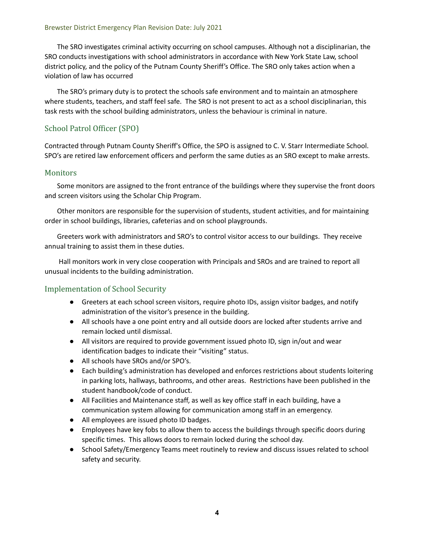The SRO investigates criminal activity occurring on school campuses. Although not a disciplinarian, the SRO conducts investigations with school administrators in accordance with New York State Law, school district policy, and the policy of the Putnam County Sheriff's Office. The SRO only takes action when a violation of law has occurred

 The SRO's primary duty is to protect the schools safe environment and to maintain an atmosphere where students, teachers, and staff feel safe. The SRO is not present to act as a school disciplinarian, this task rests with the school building administrators, unless the behaviour is criminal in nature.

# School Patrol Officer (SPO)

 Contracted through Putnam County Sheriff's Office, the SPO is assigned to C. V. Starr Intermediate School. SPO's are retired law enforcement officers and perform the same duties as an SRO except to make arrests.

## Monitors

 Some monitors are assigned to the front entrance of the buildings where they supervise the front doors and screen visitors using the Scholar Chip Program.

 Other monitors are responsible for the supervision of students, student activities, and for maintaining order in school buildings, libraries, cafeterias and on school playgrounds.

 Greeters work with administrators and SRO's to control visitor access to our buildings. They receive annual training to assist them in these duties.

 Hall monitors work in very close cooperation with Principals and SROs and are trained to report all unusual incidents to the building administration.

## Implementation of School Security

- ● Greeters at each school screen visitors, require photo IDs, assign visitor badges, and notify administration of the visitor's presence in the building.
- ● All schools have a one point entry and all outside doors are locked after students arrive and remain locked until dismissal.
- ● All visitors are required to provide government issued photo ID, sign in/out and wear identification badges to indicate their "visiting" status.
- All schools have SROs and/or SPO's.
- ● Each building's administration has developed and enforces restrictions about students loitering in parking lots, hallways, bathrooms, and other areas. Restrictions have been published in the student handbook/code of conduct.
- ● All Facilities and Maintenance staff, as well as key office staff in each building, have a communication system allowing for communication among staff in an emergency.
- All employees are issued photo ID badges.
- ● Employees have key fobs to allow them to access the buildings through specific doors during specific times. This allows doors to remain locked during the school day.
- ● School Safety/Emergency Teams meet routinely to review and discuss issues related to school safety and security.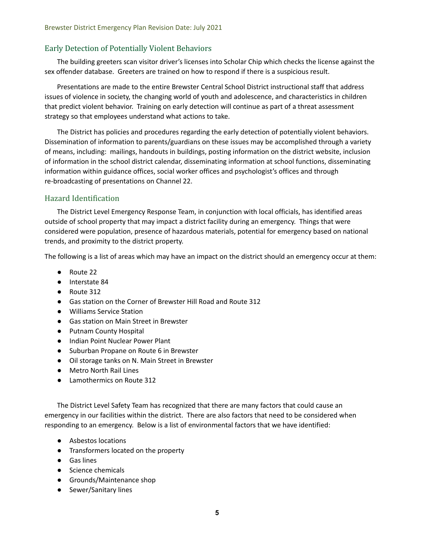## Early Detection of Potentially Violent Behaviors

 The building greeters scan visitor driver's licenses into Scholar Chip which checks the license against the sex offender database. Greeters are trained on how to respond if there is a suspicious result.

 Presentations are made to the entire Brewster Central School District instructional staff that address issues of violence in society, the changing world of youth and adolescence, and characteristics in children that predict violent behavior. Training on early detection will continue as part of a threat assessment strategy so that employees understand what actions to take.

 The District has policies and procedures regarding the early detection of potentially violent behaviors. Dissemination of information to parents/guardians on these issues may be accomplished through a variety of means, including: mailings, handouts in buildings, posting information on the district website, inclusion of information in the school district calendar, disseminating information at school functions, disseminating information within guidance offices, social worker offices and psychologist's offices and through re-broadcasting of presentations on Channel 22.

## Hazard Identification

 The District Level Emergency Response Team, in conjunction with local officials, has identified areas outside of school property that may impact a district facility during an emergency. Things that were considered were population, presence of hazardous materials, potential for emergency based on national trends, and proximity to the district property.

The following is a list of areas which may have an impact on the district should an emergency occur at them:

- Route 22
- Interstate 84
- Route 312
- Gas station on the Corner of Brewster Hill Road and Route 312
- Williams Service Station
- Gas station on Main Street in Brewster
- Putnam County Hospital
- Indian Point Nuclear Power Plant
- Suburban Propane on Route 6 in Brewster
- Oil storage tanks on N. Main Street in Brewster
- Metro North Rail Lines
- Lamothermics on Route 312

 The District Level Safety Team has recognized that there are many factors that could cause an emergency in our facilities within the district. There are also factors that need to be considered when responding to an emergency. Below is a list of environmental factors that we have identified:

- Asbestos locations
- Transformers located on the property
- Gas lines
- Science chemicals
- Grounds/Maintenance shop
- Sewer/Sanitary lines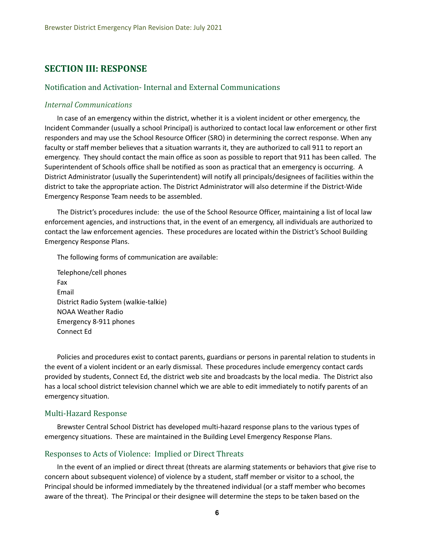# **SECTION III: RESPONSE**

## Notification and Activation- Internal and External Communications

#### *Internal Communications*

 In case of an emergency within the district, whether it is a violent incident or other emergency, the Incident Commander (usually a school Principal) is authorized to contact local law enforcement or other first responders and may use the School Resource Officer (SRO) in determining the correct response. When any faculty or staff member believes that a situation warrants it, they are authorized to call 911 to report an emergency. They should contact the main office as soon as possible to report that 911 has been called. The Superintendent of Schools office shall be notified as soon as practical that an emergency is occurring. A District Administrator (usually the Superintendent) will notify all principals/designees of facilities within the district to take the appropriate action. The District Administrator will also determine if the District-Wide Emergency Response Team needs to be assembled.

 The District's procedures include: the use of the School Resource Officer, maintaining a list of local law enforcement agencies, and instructions that, in the event of an emergency, all individuals are authorized to contact the law enforcement agencies. These procedures are located within the District's School Building Emergency Response Plans.

The following forms of communication are available:

 District Radio System (walkie-talkie) NOAA Weather Radio Emergency 8-911 phones Telephone/cell phones Fax Email Connect Ed

 Policies and procedures exist to contact parents, guardians or persons in parental relation to students in the event of a violent incident or an early dismissal. These procedures include emergency contact cards provided by students, Connect Ed, the district web site and broadcasts by the local media. The District also has a local school district television channel which we are able to edit immediately to notify parents of an emergency situation.

#### Multi-Hazard Response

 Brewster Central School District has developed multi-hazard response plans to the various types of emergency situations. These are maintained in the Building Level Emergency Response Plans.

#### Responses to Acts of Violence: Implied or Direct Threats

 In the event of an implied or direct threat (threats are alarming statements or behaviors that give rise to concern about subsequent violence) of violence by a student, staff member or visitor to a school, the Principal should be informed immediately by the threatened individual (or a staff member who becomes aware of the threat). The Principal or their designee will determine the steps to be taken based on the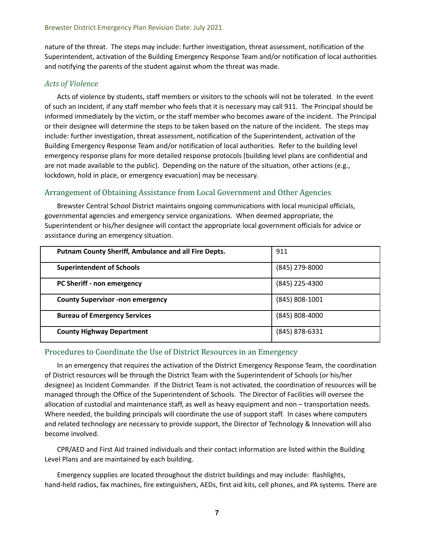nature of the threat. The steps may include: further investigation, threat assessment, notification of the Superintendent, activation of the Building Emergency Response Team and/or notification of local authorities and notifying the parents of the student against whom the threat was made.

## *Acts of Violence*

 Acts of violence by students, staff members or visitors to the schools will not be tolerated. In the event of such an incident, if any staff member who feels that it is necessary may call 911. The Principal should be informed immediately by the victim, or the staff member who becomes aware of the incident. The Principal or their designee will determine the steps to be taken based on the nature of the incident. The steps may include: further investigation, threat assessment, notification of the Superintendent, activation of the Building Emergency Response Team and/or notification of local authorities. Refer to the building level emergency response plans for more detailed response protocols (building level plans are confidential and are not made available to the public). Depending on the nature of the situation, other actions (e.g., lockdown, hold in place, or emergency evacuation) may be necessary.

## Arrangement of Obtaining Assistance from Local Government and Other Agencies

 Brewster Central School District maintains ongoing communications with local municipal officials, governmental agencies and emergency service organizations. When deemed appropriate, the Superintendent or his/her designee will contact the appropriate local government officials for advice or assistance during an emergency situation.

| <b>Putnam County Sheriff, Ambulance and all Fire Depts.</b> | 911                |
|-------------------------------------------------------------|--------------------|
| <b>Superintendent of Schools</b>                            | (845) 279-8000     |
| PC Sheriff - non emergency                                  | $(845)$ 225-4300   |
| <b>County Supervisor -non emergency</b>                     | $(845) 808 - 1001$ |
| <b>Bureau of Emergency Services</b>                         | $(845)$ 808-4000   |
| <b>County Highway Department</b>                            | (845) 878-6331     |

## Procedures to Coordinate the Use of District Resources in an Emergency

 In an emergency that requires the activation of the District Emergency Response Team, the coordination of District resources will be through the District Team with the Superintendent of Schools (or his/her designee) as Incident Commander. If the District Team is not activated, the coordination of resources will be managed through the Office of the Superintendent of Schools. The Director of Facilities will oversee the allocation of custodial and maintenance staff, as well as heavy equipment and non – transportation needs. Where needed, the building principals will coordinate the use of support staff. In cases where computers and related technology are necessary to provide support, the Director of Technology & Innovation will also become involved.

 CPR/AED and First Aid trained individuals and their contact information are listed within the Building Level Plans and are maintained by each building.

 Emergency supplies are located throughout the district buildings and may include: flashlights, hand-held radios, fax machines, fire extinguishers, AEDs, first aid kits, cell phones, and PA systems. There are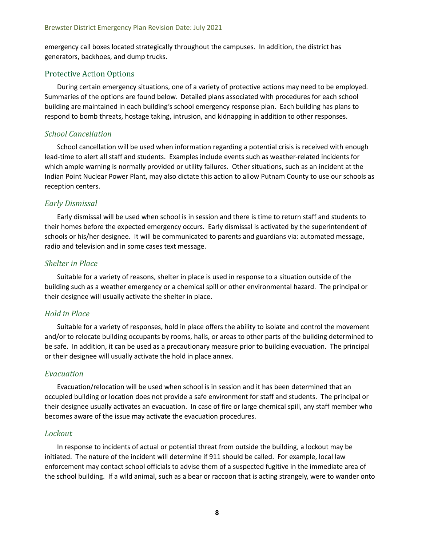emergency call boxes located strategically throughout the campuses. In addition, the district has generators, backhoes, and dump trucks.

#### Protective Action Options

 During certain emergency situations, one of a variety of protective actions may need to be employed. Summaries of the options are found below. Detailed plans associated with procedures for each school building are maintained in each building's school emergency response plan. Each building has plans to respond to bomb threats, hostage taking, intrusion, and kidnapping in addition to other responses.

#### *School Cancellation*

 School cancellation will be used when information regarding a potential crisis is received with enough lead-time to alert all staff and students. Examples include events such as weather-related incidents for which ample warning is normally provided or utility failures. Other situations, such as an incident at the Indian Point Nuclear Power Plant, may also dictate this action to allow Putnam County to use our schools as reception centers.

#### *Early Dismissal*

 Early dismissal will be used when school is in session and there is time to return staff and students to their homes before the expected emergency occurs. Early dismissal is activated by the superintendent of schools or his/her designee. It will be communicated to parents and guardians via: automated message, radio and television and in some cases text message.

#### *Shelter in Place*

 Suitable for a variety of reasons, shelter in place is used in response to a situation outside of the building such as a weather emergency or a chemical spill or other environmental hazard. The principal or their designee will usually activate the shelter in place.

#### *Hold in Place*

 Suitable for a variety of responses, hold in place offers the ability to isolate and control the movement and/or to relocate building occupants by rooms, halls, or areas to other parts of the building determined to be safe. In addition, it can be used as a precautionary measure prior to building evacuation. The principal or their designee will usually activate the hold in place annex.

#### *Evacuation*

 Evacuation/relocation will be used when school is in session and it has been determined that an occupied building or location does not provide a safe environment for staff and students. The principal or their designee usually activates an evacuation. In case of fire or large chemical spill, any staff member who becomes aware of the issue may activate the evacuation procedures.

#### *Lockout*

 In response to incidents of actual or potential threat from outside the building, a lockout may be initiated. The nature of the incident will determine if 911 should be called. For example, local law enforcement may contact school officials to advise them of a suspected fugitive in the immediate area of the school building. If a wild animal, such as a bear or raccoon that is acting strangely, were to wander onto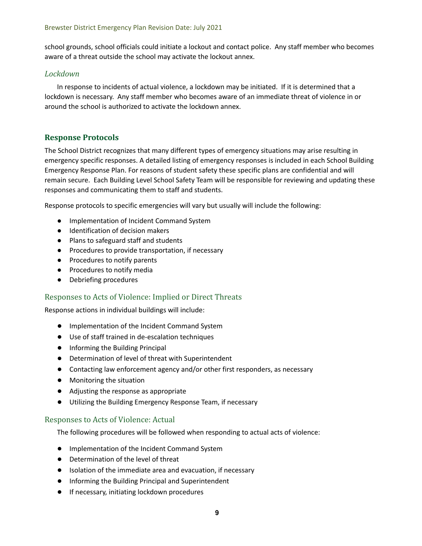school grounds, school officials could initiate a lockout and contact police. Any staff member who becomes aware of a threat outside the school may activate the lockout annex.

## *Lockdown*

 In response to incidents of actual violence, a lockdown may be initiated. If it is determined that a lockdown is necessary. Any staff member who becomes aware of an immediate threat of violence in or around the school is authorized to activate the lockdown annex.

## **Response Protocols**

 The School District recognizes that many different types of emergency situations may arise resulting in emergency specific responses. A detailed listing of emergency responses is included in each School Building Emergency Response Plan. For reasons of student safety these specific plans are confidential and will remain secure. Each Building Level School Safety Team will be responsible for reviewing and updating these responses and communicating them to staff and students.

Response protocols to specific emergencies will vary but usually will include the following:

- Implementation of Incident Command System
- Identification of decision makers
- Plans to safeguard staff and students
- Procedures to provide transportation, if necessary
- Procedures to notify parents
- Procedures to notify media
- Debriefing procedures

## Responses to Acts of Violence: Implied or Direct Threats

Response actions in individual buildings will include:

- Implementation of the Incident Command System
- Use of staff trained in de-escalation techniques
- Informing the Building Principal
- Determination of level of threat with Superintendent
- Contacting law enforcement agency and/or other first responders, as necessary
- Monitoring the situation
- Adjusting the response as appropriate
- Utilizing the Building Emergency Response Team, if necessary

## Responses to Acts of Violence: Actual

The following procedures will be followed when responding to actual acts of violence:

- Implementation of the Incident Command System
- Determination of the level of threat
- Isolation of the immediate area and evacuation, if necessary
- Informing the Building Principal and Superintendent
- If necessary, initiating lockdown procedures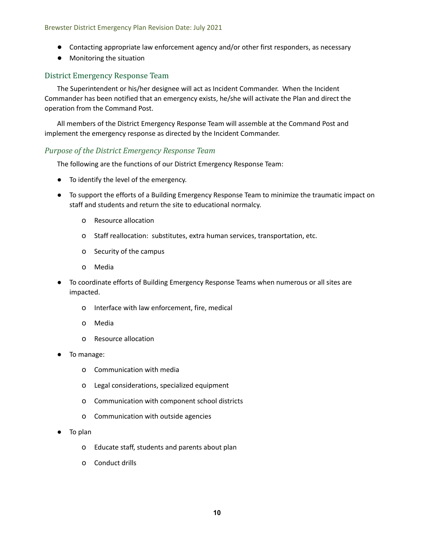- Contacting appropriate law enforcement agency and/or other first responders, as necessary
- Monitoring the situation

## District Emergency Response Team

 The Superintendent or his/her designee will act as Incident Commander. When the Incident Commander has been notified that an emergency exists, he/she will activate the Plan and direct the operation from the Command Post.

 All members of the District Emergency Response Team will assemble at the Command Post and implement the emergency response as directed by the Incident Commander.

## *Purpose of the District Emergency Response Team*

The following are the functions of our District Emergency Response Team:

- To identify the level of the emergency.
- ● To support the efforts of a Building Emergency Response Team to minimize the traumatic impact on staff and students and return the site to educational normalcy.
	- o Resource allocation
	- o Staff reallocation: substitutes, extra human services, transportation, etc.
	- o Security of the campus
	- o Media
- ● To coordinate efforts of Building Emergency Response Teams when numerous or all sites are impacted.
	- o Interface with law enforcement, fire, medical
	- o Media
	- o Resource allocation
- To manage:
	- o Communication with media
	- o Legal considerations, specialized equipment
	- o Communication with component school districts
	- o Communication with outside agencies
- To plan
	- o Educate staff, students and parents about plan
	- o Conduct drills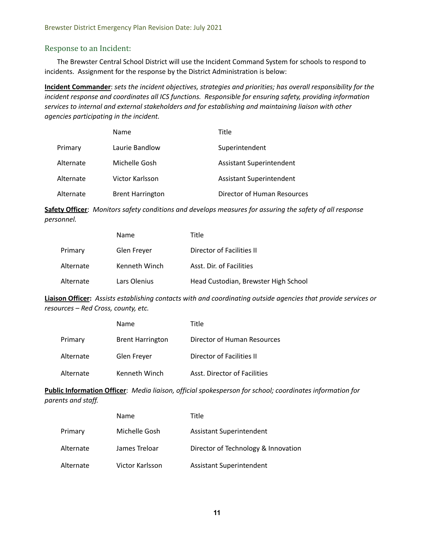## Response to an Incident:

 The Brewster Central School District will use the Incident Command System for schools to respond to incidents. Assignment for the response by the District Administration is below:

 **Incident Commander**: *sets the incident objectives, strategies and priorities; has overall responsibility for the incident response and coordinates all ICS functions. Responsible for ensuring safety, providing information services to internal and external stakeholders and for establishing and maintaining liaison with other agencies participating in the incident.*

|           | Name                    | Title                           |
|-----------|-------------------------|---------------------------------|
| Primary   | Laurie Bandlow          | Superintendent                  |
| Alternate | Michelle Gosh           | <b>Assistant Superintendent</b> |
| Alternate | Victor Karlsson         | <b>Assistant Superintendent</b> |
| Alternate | <b>Brent Harrington</b> | Director of Human Resources     |

 **Safety Officer**: *Monitors safety conditions and develops measures for assuring the safety of all response personnel.*

|           | Name          | Title                                |
|-----------|---------------|--------------------------------------|
| Primary   | Glen Freyer   | Director of Facilities II            |
| Alternate | Kenneth Winch | Asst. Dir. of Facilities             |
| Alternate | Lars Olenius  | Head Custodian, Brewster High School |

 **Liaison Officer:** *Assists establishing contacts with and coordinating outside agencies that provide services or resources – Red Cross, county, etc.*

|           | Name                    | Title                        |
|-----------|-------------------------|------------------------------|
| Primary   | <b>Brent Harrington</b> | Director of Human Resources  |
| Alternate | Glen Freyer             | Director of Facilities II    |
| Alternate | Kenneth Winch           | Asst. Director of Facilities |

 **Public Information Officer**: *Media liaison, official spokesperson for school; coordinates information for parents and staff.*

|           | Name            | Title                               |
|-----------|-----------------|-------------------------------------|
| Primary   | Michelle Gosh   | <b>Assistant Superintendent</b>     |
| Alternate | James Treloar   | Director of Technology & Innovation |
| Alternate | Victor Karlsson | <b>Assistant Superintendent</b>     |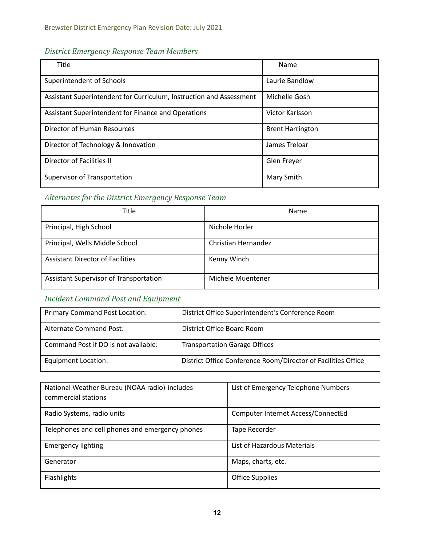# *District Emergency Response Team Members*

| Title                                                               | Name                    |
|---------------------------------------------------------------------|-------------------------|
| Superintendent of Schools                                           | Laurie Bandlow          |
| Assistant Superintendent for Curriculum, Instruction and Assessment | Michelle Gosh           |
| Assistant Superintendent for Finance and Operations                 | Victor Karlsson         |
| Director of Human Resources                                         | <b>Brent Harrington</b> |
| Director of Technology & Innovation                                 | James Treloar           |
| Director of Facilities II                                           | Glen Freyer             |
| Supervisor of Transportation                                        | Mary Smith              |

# *Alternates for the District Emergency Response Team*

| Title                                   | Name                |
|-----------------------------------------|---------------------|
| Principal, High School                  | Nichole Horler      |
| Principal, Wells Middle School          | Christian Hernandez |
| <b>Assistant Director of Facilities</b> | Kenny Winch         |
| Assistant Supervisor of Transportation  | Michele Muentener   |

# *Incident Command Post and Equipment*

| <b>Primary Command Post Location:</b> | District Office Superintendent's Conference Room              |
|---------------------------------------|---------------------------------------------------------------|
| Alternate Command Post:               | District Office Board Room                                    |
| Command Post if DO is not available:  | <b>Transportation Garage Offices</b>                          |
| Equipment Location:                   | District Office Conference Room/Director of Facilities Office |

| National Weather Bureau (NOAA radio)-includes<br>commercial stations | List of Emergency Telephone Numbers |
|----------------------------------------------------------------------|-------------------------------------|
| Radio Systems, radio units                                           | Computer Internet Access/ConnectEd  |
| Telephones and cell phones and emergency phones                      | Tape Recorder                       |
| <b>Emergency lighting</b>                                            | List of Hazardous Materials         |
| Generator                                                            | Maps, charts, etc.                  |
| Flashlights                                                          | <b>Office Supplies</b>              |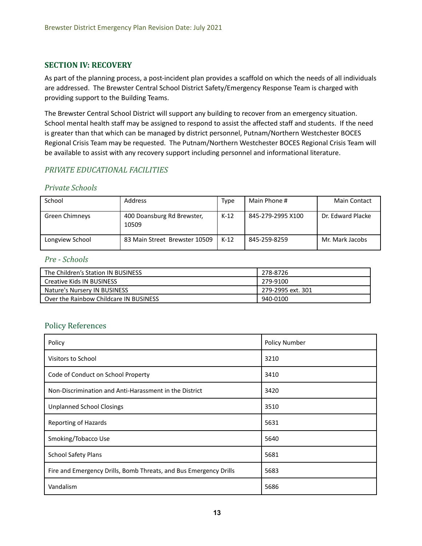## **SECTION IV: RECOVERY**

 As part of the planning process, a post-incident plan provides a scaffold on which the needs of all individuals are addressed. The Brewster Central School District Safety/Emergency Response Team is charged with providing support to the Building Teams.

 The Brewster Central School District will support any building to recover from an emergency situation. School mental health staff may be assigned to respond to assist the affected staff and students. If the need is greater than that which can be managed by district personnel, Putnam/Northern Westchester BOCES Regional Crisis Team may be requested. The Putnam/Northern Westchester BOCES Regional Crisis Team will be available to assist with any recovery support including personnel and informational literature.

## *PRIVATE EDUCATIONAL FACILITIES*

#### *Private Schools*

| School          | Address                             | Type   | Main Phone #      | <b>Main Contact</b> |
|-----------------|-------------------------------------|--------|-------------------|---------------------|
| Green Chimneys  | 400 Doansburg Rd Brewster,<br>10509 | K-12   | 845-279-2995 X100 | Dr. Edward Placke   |
| Longview School | 83 Main Street Brewster 10509       | $K-12$ | 845-259-8259      | Mr. Mark Jacobs     |

#### *Pre - Schools*

| The Children's Station IN BUSINESS     | 278-8726          |
|----------------------------------------|-------------------|
| Creative Kids IN BUSINESS              | . 279-9100        |
| Nature's Nursery IN BUSINESS           | 279-2995 ext. 301 |
| Over the Rainbow Childcare IN BUSINESS | 940-0100          |

## Policy References

| Policy                                                            | <b>Policy Number</b> |
|-------------------------------------------------------------------|----------------------|
| Visitors to School                                                | 3210                 |
| Code of Conduct on School Property                                | 3410                 |
| Non-Discrimination and Anti-Harassment in the District            | 3420                 |
| <b>Unplanned School Closings</b>                                  | 3510                 |
| <b>Reporting of Hazards</b>                                       | 5631                 |
| Smoking/Tobacco Use                                               | 5640                 |
| <b>School Safety Plans</b>                                        | 5681                 |
| Fire and Emergency Drills, Bomb Threats, and Bus Emergency Drills | 5683                 |
| Vandalism                                                         | 5686                 |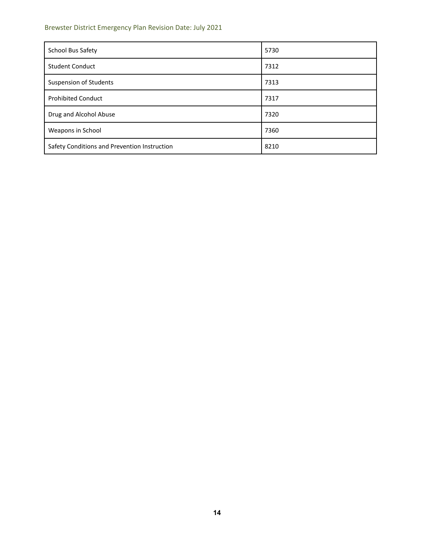#### Brewster District Emergency Plan Revision Date: July 2021

| School Bus Safety                            | 5730 |
|----------------------------------------------|------|
| <b>Student Conduct</b>                       | 7312 |
| <b>Suspension of Students</b>                | 7313 |
| <b>Prohibited Conduct</b>                    | 7317 |
| Drug and Alcohol Abuse                       | 7320 |
| Weapons in School                            | 7360 |
| Safety Conditions and Prevention Instruction | 8210 |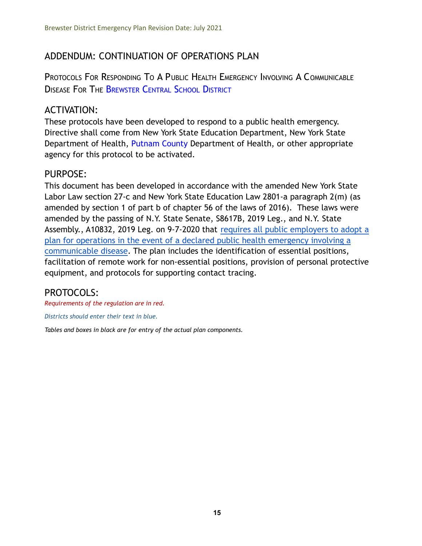# ADDENDUM: CONTINUATION OF OPERATIONS PLAN

PROTOCOLS FOR RESPONDING T<sup>O</sup> A PUBLIC HEALTH EMERGENCY INVOLVING A COMMUNICABLE DISEASE FOR THE BREWSTER CENTRAL SCHOOL DISTRICT

# ACTIVATION:

These protocols have been developed to respond to a public health emergency. Directive shall come from New York State Education Department, New York State Department of Health, Putnam County Department of Health, or other appropriate agency for this protocol to be activated.

# PURPOSE:

This document has been developed in accordance with the amended New York State Labor Law section 27-c and New York State Education Law 2801-a paragraph 2(m) (as amended by section 1 of part b of chapter 56 of the laws of 2016). These laws were amended by the passing of N.Y. State Senate, S8617B, 2019 Leg., and N.Y. State Assembly., A10832, 2019 Leg. on 9-7-2020 that requires [all public employers to adopt a](https://drive.google.com/file/d/1VdH1eEe8X819jqm5qA7fo5h1aPnP3iOE/view?usp=sharing) [plan for operations in the event of a declared public health emergency involving a](https://drive.google.com/file/d/1VdH1eEe8X819jqm5qA7fo5h1aPnP3iOE/view?usp=sharing) [communicable disease](https://drive.google.com/file/d/1VdH1eEe8X819jqm5qA7fo5h1aPnP3iOE/view?usp=sharing). The plan includes the identification of essential positions, facilitation of remote work for non-essential positions, provision of personal protective equipment, and protocols for supporting contact tracing.

# PROTOCOLS:

*Requirements of the regulation are in red.*

*Districts should enter their text in blue.*

*Tables and boxes in black are for entry of the actual plan components.*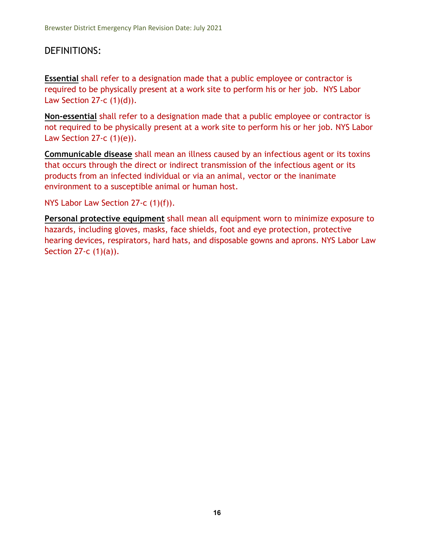# DEFINITIONS:

**Essential** shall refer to a designation made that a public employee or contractor is required to be physically present at a work site to perform his or her job. NYS Labor Law Section 27-c  $(1)(d)$ ).

**Non-essential** shall refer to a designation made that a public employee or contractor is not required to be physically present at a work site to perform his or her job. NYS Labor Law Section 27-c  $(1)(e)$ ).

**Communicable disease** shall mean an illness caused by an infectious agent or its toxins that occurs through the direct or indirect transmission of the infectious agent or its products from an infected individual or via an animal, vector or the inanimate environment to a susceptible animal or human host.

NYS Labor Law Section 27-c (1)(f)).

**Personal protective equipment** shall mean all equipment worn to minimize exposure to hazards, including gloves, masks, face shields, foot and eye protection, protective hearing devices, respirators, hard hats, and disposable gowns and aprons. NYS Labor Law Section 27-c (1)(a)).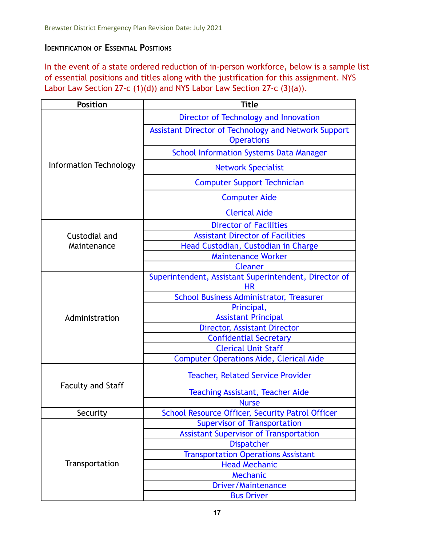# **IDENTIFICATION OF ESSENTIAL POSITIONS**

In the event of a state ordered reduction of in-person workforce, below is a sample list of essential positions and titles along with the justification for this assignment. NYS Labor Law Section 27-c (1)(d)) and NYS Labor Law Section 27-c (3)(a)).

| <b>Position</b>          | <b>Title</b>                                                                     |  |
|--------------------------|----------------------------------------------------------------------------------|--|
|                          | Director of Technology and Innovation                                            |  |
| Information Technology   | <b>Assistant Director of Technology and Network Support</b><br><b>Operations</b> |  |
|                          | <b>School Information Systems Data Manager</b>                                   |  |
|                          | <b>Network Specialist</b>                                                        |  |
|                          | <b>Computer Support Technician</b>                                               |  |
|                          | <b>Computer Aide</b>                                                             |  |
|                          | <b>Clerical Aide</b>                                                             |  |
|                          | <b>Director of Facilities</b>                                                    |  |
| Custodial and            | <b>Assistant Director of Facilities</b>                                          |  |
| Maintenance              | Head Custodian, Custodian in Charge                                              |  |
|                          | <b>Maintenance Worker</b>                                                        |  |
|                          | <b>Cleaner</b>                                                                   |  |
|                          | Superintendent, Assistant Superintendent, Director of<br><b>HR</b>               |  |
|                          | <b>School Business Administrator, Treasurer</b>                                  |  |
|                          | Principal,                                                                       |  |
| Administration           | <b>Assistant Principal</b>                                                       |  |
|                          | <b>Director, Assistant Director</b>                                              |  |
|                          | <b>Confidential Secretary</b>                                                    |  |
|                          | <b>Clerical Unit Staff</b>                                                       |  |
|                          | <b>Computer Operations Aide, Clerical Aide</b>                                   |  |
| <b>Faculty and Staff</b> | <b>Teacher, Related Service Provider</b>                                         |  |
|                          | <b>Teaching Assistant, Teacher Aide</b>                                          |  |
|                          | <b>Nurse</b>                                                                     |  |
| Security                 | School Resource Officer, Security Patrol Officer                                 |  |
|                          | <b>Supervisor of Transportation</b>                                              |  |
|                          | <b>Assistant Supervisor of Transportation</b>                                    |  |
|                          | <b>Dispatcher</b>                                                                |  |
|                          | <b>Transportation Operations Assistant</b>                                       |  |
| Transportation           | <b>Head Mechanic</b>                                                             |  |
|                          | Mechanic                                                                         |  |
|                          | <b>Driver/Maintenance</b>                                                        |  |
|                          | <b>Bus Driver</b>                                                                |  |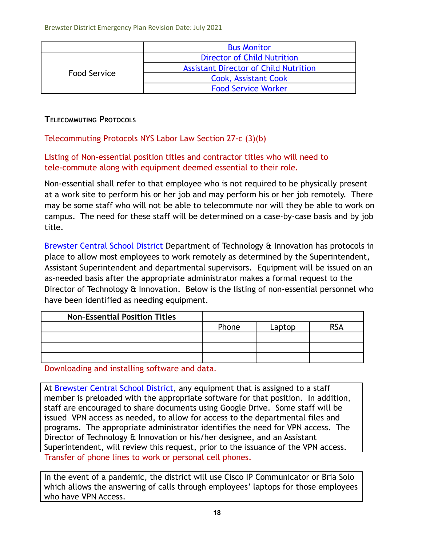|              | <b>Bus Monitor</b>                           |  |
|--------------|----------------------------------------------|--|
|              | <b>Director of Child Nutrition</b>           |  |
|              | <b>Assistant Director of Child Nutrition</b> |  |
| Food Service | <b>Cook, Assistant Cook</b>                  |  |
|              | <b>Food Service Worker</b>                   |  |

# **TELECOMMUTING PROTOCOLS**

Telecommuting Protocols NYS Labor Law Section 27-c (3)(b)

Listing of Non-essential position titles and contractor titles who will need to tele-commute along with equipment deemed essential to their role.

Non-essential shall refer to that employee who is not required to be physically present at a work site to perform his or her job and may perform his or her job remotely. There may be some staff who will not be able to telecommute nor will they be able to work on campus. The need for these staff will be determined on a case-by-case basis and by job title.

Brewster Central School District Department of Technology & Innovation has protocols in place to allow most employees to work remotely as determined by the Superintendent, Assistant Superintendent and departmental supervisors. Equipment will be issued on an as-needed basis after the appropriate administrator makes a formal request to the Director of Technology & Innovation. Below is the listing of non-essential personnel who have been identified as needing equipment.

| <b>Non-Essential Position Titles</b> |       |        |            |
|--------------------------------------|-------|--------|------------|
|                                      | Phone | Laptop | <b>RSA</b> |
|                                      |       |        |            |
|                                      |       |        |            |
|                                      |       |        |            |

Downloading and installing software and data.

At Brewster Central School District, any equipment that is assigned to a staff member is preloaded with the appropriate software for that position. In addition, staff are encouraged to share documents using Google Drive. Some staff will be issued VPN access as needed, to allow for access to the departmental files and programs. The appropriate administrator identifies the need for VPN access. The Director of Technology & Innovation or his/her designee, and an Assistant Superintendent, will review this request, prior to the issuance of the VPN access. Transfer of phone lines to work or personal cell phones.

In the event of a pandemic, the district will use Cisco IP Communicator or Bria Solo which allows the answering of calls through employees' laptops for those employees who have VPN Access.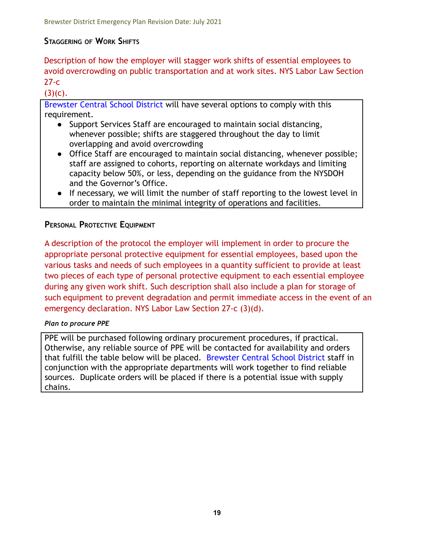# **STAGGERING OF WORK SHIFTS**

Description of how the employer will stagger work shifts of essential employees to avoid overcrowding on public transportation and at work sites. NYS Labor Law Section  $27-c$ 

 $(3)(c)$ .

Brewster Central School District will have several options to comply with this requirement.

- Support Services Staff are encouraged to maintain social distancing, whenever possible; shifts are staggered throughout the day to limit overlapping and avoid overcrowding
- Office Staff are encouraged to maintain social distancing, whenever possible; staff are assigned to cohorts, reporting on alternate workdays and limiting capacity below 50%, or less, depending on the guidance from the NYSDOH and the Governor's Office.
- If necessary, we will limit the number of staff reporting to the lowest level in order to maintain the minimal integrity of operations and facilities.

# **PERSONAL PROTECTIVE EQUIPMENT**

A description of the protocol the employer will implement in order to procure the appropriate personal protective equipment for essential employees, based upon the various tasks and needs of such employees in a quantity sufficient to provide at least two pieces of each type of personal protective equipment to each essential employee during any given work shift. Such description shall also include a plan for storage of such equipment to prevent degradation and permit immediate access in the event of an emergency declaration. NYS Labor Law Section 27-c (3)(d).

## *Plan to procure PPE*

PPE will be purchased following ordinary procurement procedures, if practical. Otherwise, any reliable source of PPE will be contacted for availability and orders that fulfill the table below will be placed. Brewster Central School District staff in conjunction with the appropriate departments will work together to find reliable sources. Duplicate orders will be placed if there is a potential issue with supply chains.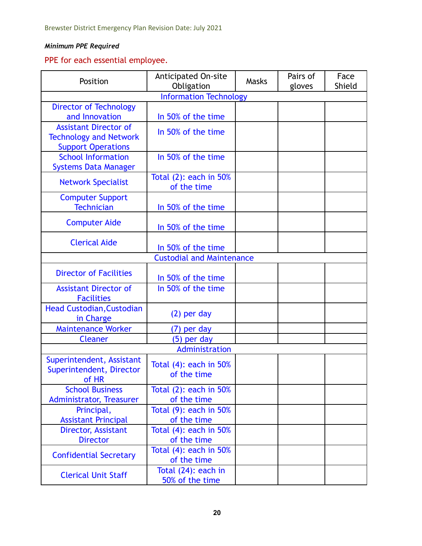## *Minimum PPE Required*

# PPE for each essential employee.

| Position                                                                                   | <b>Anticipated On-site</b><br>Obligation | Masks | Pairs of<br>gloves | Face<br>Shield |
|--------------------------------------------------------------------------------------------|------------------------------------------|-------|--------------------|----------------|
| <b>Information Technology</b>                                                              |                                          |       |                    |                |
| <b>Director of Technology</b><br>and Innovation                                            | In 50% of the time                       |       |                    |                |
| <b>Assistant Director of</b><br><b>Technology and Network</b><br><b>Support Operations</b> | In 50% of the time                       |       |                    |                |
| <b>School Information</b><br><b>Systems Data Manager</b>                                   | In 50% of the time                       |       |                    |                |
| <b>Network Specialist</b>                                                                  | Total (2): each in 50%<br>of the time    |       |                    |                |
| <b>Computer Support</b><br><b>Technician</b>                                               | In 50% of the time                       |       |                    |                |
| <b>Computer Aide</b>                                                                       | In 50% of the time                       |       |                    |                |
| <b>Clerical Aide</b>                                                                       | In 50% of the time                       |       |                    |                |
|                                                                                            | <b>Custodial and Maintenance</b>         |       |                    |                |
| <b>Director of Facilities</b>                                                              | In 50% of the time                       |       |                    |                |
| <b>Assistant Director of</b><br><b>Facilities</b>                                          | In 50% of the time                       |       |                    |                |
| <b>Head Custodian, Custodian</b><br>in Charge                                              | $(2)$ per day                            |       |                    |                |
| <b>Maintenance Worker</b>                                                                  | (7) per day                              |       |                    |                |
| <b>Cleaner</b>                                                                             | (5) per day                              |       |                    |                |
|                                                                                            | Administration                           |       |                    |                |
| Superintendent, Assistant<br>Superintendent, Director<br>of HR                             | Total $(4)$ : each in 50%<br>of the time |       |                    |                |
| <b>School Business</b><br><b>Administrator, Treasurer</b>                                  | Total $(2)$ : each in 50%<br>of the time |       |                    |                |
| Principal,<br><b>Assistant Principal</b>                                                   | Total $(9)$ : each in 50%<br>of the time |       |                    |                |
| Director, Assistant<br><b>Director</b>                                                     | Total $(4)$ : each in 50%<br>of the time |       |                    |                |
| <b>Confidential Secretary</b>                                                              | Total $(4)$ : each in 50%<br>of the time |       |                    |                |
| <b>Clerical Unit Staff</b>                                                                 | Total (24): each in<br>50% of the time   |       |                    |                |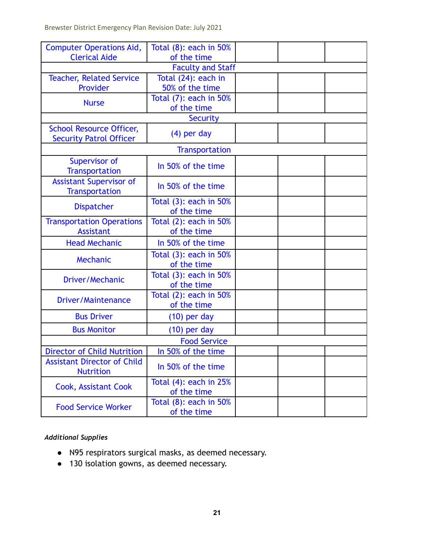Brewster District Emergency Plan Revision Date: July 2021

| <b>Computer Operations Aid,</b>                                   | Total $(8)$ : each in 50%                       |  |  |  |
|-------------------------------------------------------------------|-------------------------------------------------|--|--|--|
| <b>Clerical Aide</b>                                              | of the time                                     |  |  |  |
| <b>Teacher, Related Service</b>                                   | <b>Faculty and Staff</b><br>Total (24): each in |  |  |  |
| Provider                                                          | 50% of the time                                 |  |  |  |
|                                                                   | Total (7): each in 50%                          |  |  |  |
| <b>Nurse</b>                                                      | of the time                                     |  |  |  |
|                                                                   | Security                                        |  |  |  |
| <b>School Resource Officer,</b><br><b>Security Patrol Officer</b> | $(4)$ per day                                   |  |  |  |
|                                                                   | <b>Transportation</b>                           |  |  |  |
| <b>Supervisor of</b><br><b>Transportation</b>                     | In 50% of the time                              |  |  |  |
| <b>Assistant Supervisor of</b><br><b>Transportation</b>           | In 50% of the time                              |  |  |  |
| <b>Dispatcher</b>                                                 | Total (3): each in 50%<br>of the time           |  |  |  |
| <b>Transportation Operations</b><br><b>Assistant</b>              | Total (2): each in 50%<br>of the time           |  |  |  |
| <b>Head Mechanic</b>                                              | In 50% of the time                              |  |  |  |
| Mechanic                                                          | Total $(3)$ : each in 50%<br>of the time        |  |  |  |
| Driver/Mechanic                                                   | Total (3): each in 50%<br>of the time           |  |  |  |
| <b>Driver/Maintenance</b>                                         | Total (2): each in 50%<br>of the time           |  |  |  |
| <b>Bus Driver</b>                                                 | $(10)$ per day                                  |  |  |  |
| <b>Bus Monitor</b>                                                | $(10)$ per day                                  |  |  |  |
| <b>Food Service</b>                                               |                                                 |  |  |  |
| <b>Director of Child Nutrition</b>                                | In 50% of the time                              |  |  |  |
| <b>Assistant Director of Child</b><br><b>Nutrition</b>            | In 50% of the time                              |  |  |  |
| <b>Cook, Assistant Cook</b>                                       | Total $(4)$ : each in 25%<br>of the time        |  |  |  |
| <b>Food Service Worker</b>                                        | Total $(8)$ : each in 50%<br>of the time        |  |  |  |

# *Additional Supplies*

- *●* N95 respirators surgical masks, as deemed necessary.
- *●* 130 isolation gowns, as deemed necessary.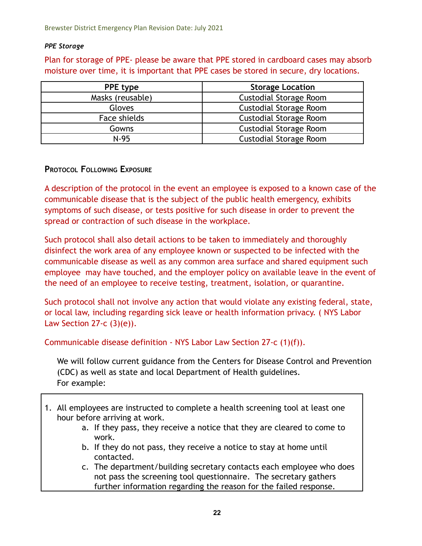## *PPE Storage*

Plan for storage of PPE- please be aware that PPE stored in cardboard cases may absorb moisture over time, it is important that PPE cases be stored in secure, dry locations.

| <b>PPE type</b>  | <b>Storage Location</b>       |
|------------------|-------------------------------|
| Masks (reusable) | <b>Custodial Storage Room</b> |
| Gloves           | <b>Custodial Storage Room</b> |
| Face shields     | <b>Custodial Storage Room</b> |
| Gowns            | <b>Custodial Storage Room</b> |
| $N-95$           | <b>Custodial Storage Room</b> |

# **PROTOCOL FOLLOWING EXPOSURE**

A description of the protocol in the event an employee is exposed to a known case of the communicable disease that is the subject of the public health emergency, exhibits symptoms of such disease, or tests positive for such disease in order to prevent the spread or contraction of such disease in the workplace.

Such protocol shall also detail actions to be taken to immediately and thoroughly disinfect the work area of any employee known or suspected to be infected with the communicable disease as well as any common area surface and shared equipment such employee may have touched, and the employer policy on available leave in the event of the need of an employee to receive testing, treatment, isolation, or quarantine.

Such protocol shall not involve any action that would violate any existing federal, state, or local law, including regarding sick leave or health information privacy. ( NYS Labor Law Section 27-c  $(3)(e)$ ).

Communicable disease definition - NYS Labor Law Section 27-c (1)(f)).

We will follow current guidance from the Centers for Disease Control and Prevention (CDC) as well as state and local Department of Health guidelines. For example:

- 1. All employees are instructed to complete a health screening tool at least one hour before arriving at work.
	- a. If they pass, they receive a notice that they are cleared to come to work.
	- b. If they do not pass, they receive a notice to stay at home until contacted.
	- c. The department/building secretary contacts each employee who does not pass the screening tool questionnaire. The secretary gathers further information regarding the reason for the failed response.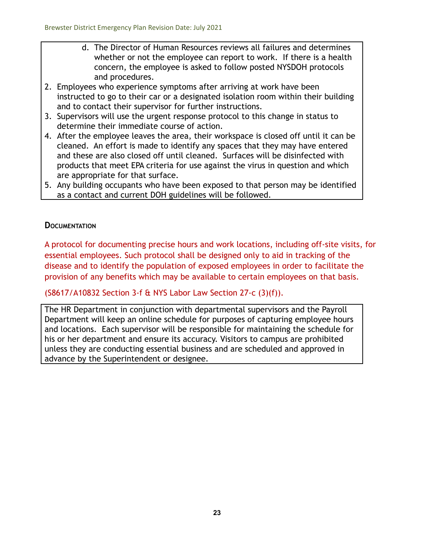- d. The Director of Human Resources reviews all failures and determines whether or not the employee can report to work. If there is a health concern, the employee is asked to follow posted NYSDOH protocols and procedures.
- 2. Employees who experience symptoms after arriving at work have been instructed to go to their car or a designated isolation room within their building and to contact their supervisor for further instructions.
- 3. Supervisors will use the urgent response protocol to this change in status to determine their immediate course of action.
- 4. After the employee leaves the area, their workspace is closed off until it can be cleaned. An effort is made to identify any spaces that they may have entered and these are also closed off until cleaned. Surfaces will be disinfected with products that meet EPA criteria for use against the virus in question and which are appropriate for that surface.
- 5. Any building occupants who have been exposed to that person may be identified as a contact and current DOH guidelines will be followed.

# **DOCUMENTATION**

A protocol for documenting precise hours and work locations, including off-site visits, for essential employees. Such protocol shall be designed only to aid in tracking of the disease and to identify the population of exposed employees in order to facilitate the provision of any benefits which may be available to certain employees on that basis.

# (S8617/A10832 Section 3-f & NYS Labor Law Section 27-c (3)(f)).

The HR Department in conjunction with departmental supervisors and the Payroll Department will keep an online schedule for purposes of capturing employee hours and locations. Each supervisor will be responsible for maintaining the schedule for his or her department and ensure its accuracy. Visitors to campus are prohibited unless they are conducting essential business and are scheduled and approved in advance by the Superintendent or designee.